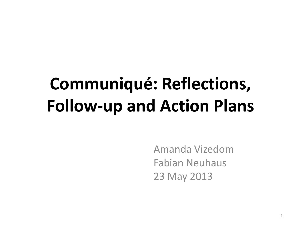# **Communiqué: Reflections, Follow-up and Action Plans**

Amanda Vizedom Fabian Neuhaus 23 May 2013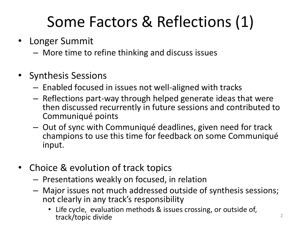## Some Factors & Reflections (1)

- Longer Summit
	- More time to refine thinking and discuss issues
- Synthesis Sessions
	- Enabled focused in issues not well-aligned with tracks
	- Reflections part-way through helped generate ideas that were then discussed recurrently in future sessions and contributed to Communiqué points
	- Out of sync with Communiqué deadlines, given need for track champions to use this time for feedback on some Communiqué input.
- Choice & evolution of track topics
	- Presentations weakly on focused, in relation
	- Major issues not much addressed outside of synthesis sessions; not clearly in any track's responsibility
		- Life cycle, evaluation methods & issues crossing, or outside of, track/topic divide <sup>2</sup>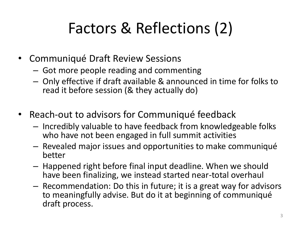### Factors & Reflections (2)

- Communiqué Draft Review Sessions
	- Got more people reading and commenting
	- Only effective if draft available & announced in time for folks to read it before session (& they actually do)
- Reach-out to advisors for Communiqué feedback
	- Incredibly valuable to have feedback from knowledgeable folks who have not been engaged in full summit activities
	- Revealed major issues and opportunities to make communiqué better
	- Happened right before final input deadline. When we should have been finalizing, we instead started near-total overhaul
	- Recommendation: Do this in future; it is a great way for advisors to meaningfully advise. But do it at beginning of communiqué draft process.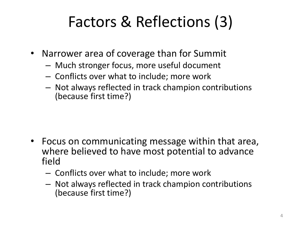### Factors & Reflections (3)

- Narrower area of coverage than for Summit
	- Much stronger focus, more useful document
	- Conflicts over what to include; more work
	- Not always reflected in track champion contributions (because first time?)

- Focus on communicating message within that area, where believed to have most potential to advance field
	- Conflicts over what to include; more work
	- Not always reflected in track champion contributions (because first time?)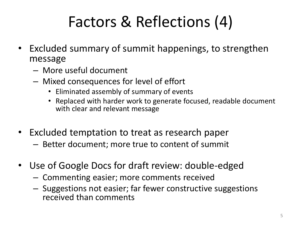## Factors & Reflections (4)

- Excluded summary of summit happenings, to strengthen message
	- More useful document
	- Mixed consequences for level of effort
		- Eliminated assembly of summary of events
		- Replaced with harder work to generate focused, readable document with clear and relevant message
- Excluded temptation to treat as research paper
	- Better document; more true to content of summit
- Use of Google Docs for draft review: double-edged
	- Commenting easier; more comments received
	- Suggestions not easier; far fewer constructive suggestions received than comments